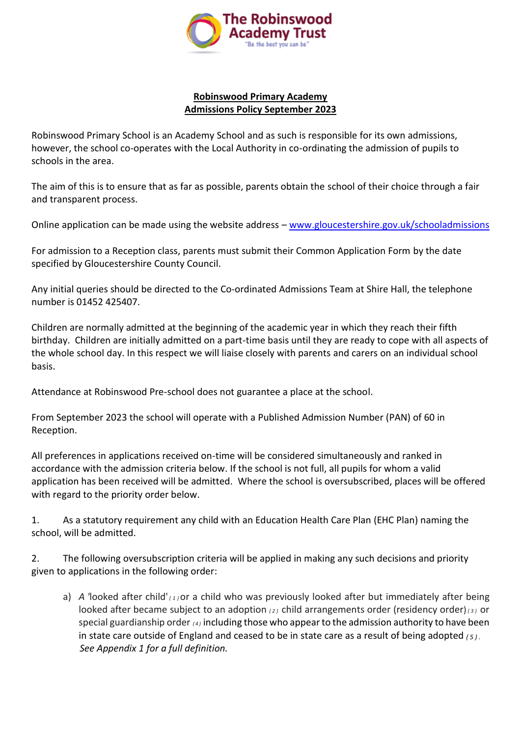

### **Robinswood Primary Academy Admissions Policy September 2023**

Robinswood Primary School is an Academy School and as such is responsible for its own admissions, however, the school co-operates with the Local Authority in co-ordinating the admission of pupils to schools in the area.

The aim of this is to ensure that as far as possible, parents obtain the school of their choice through a fair and transparent process.

Online application can be made using the website address – [www.gloucestershire.gov.uk/schooladmissions](http://www.gloucestershire.gov.uk/schooladmissions)

For admission to a Reception class, parents must submit their Common Application Form by the date specified by Gloucestershire County Council.

Any initial queries should be directed to the Co-ordinated Admissions Team at Shire Hall, the telephone number is 01452 425407.

Children are normally admitted at the beginning of the academic year in which they reach their fifth birthday. Children are initially admitted on a part-time basis until they are ready to cope with all aspects of the whole school day. In this respect we will liaise closely with parents and carers on an individual school basis.

Attendance at Robinswood Pre-school does not guarantee a place at the school.

From September 2023 the school will operate with a Published Admission Number (PAN) of 60 in Reception.

All preferences in applications received on-time will be considered simultaneously and ranked in accordance with the admission criteria below. If the school is not full, all pupils for whom a valid application has been received will be admitted. Where the school is oversubscribed, places will be offered with regard to the priority order below.

1. As a statutory requirement any child with an Education Health Care Plan (EHC Plan) naming the school, will be admitted.

2. The following oversubscription criteria will be applied in making any such decisions and priority given to applications in the following order:

a) *A '*looked after child' *( <sup>1</sup> )*or a child who was previously looked after but immediately after being looked after became subject to an adoption *( <sup>2</sup> )* child arrangements order (residency order)*( <sup>3</sup> )* or special guardianship order *( <sup>4</sup> )* including those who appearto the admission authority to have been in state care outside of England and ceased to be in state care as a result of being adopted *( <sup>5</sup> ) . See Appendix 1 for a full definition.*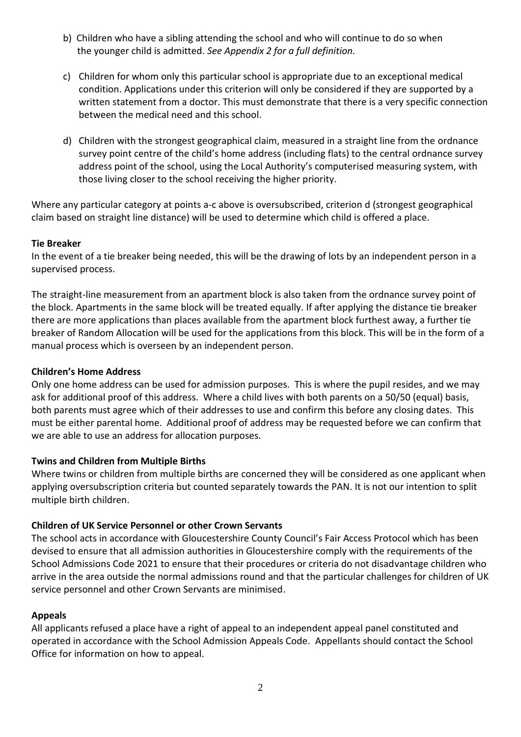- b) Children who have a sibling attending the school and who will continue to do so when the younger child is admitted. *See Appendix 2 for a full definition.*
- c) Children for whom only this particular school is appropriate due to an exceptional medical condition. Applications under this criterion will only be considered if they are supported by a written statement from a doctor. This must demonstrate that there is a very specific connection between the medical need and this school.
- d) Children with the strongest geographical claim, measured in a straight line from the ordnance survey point centre of the child's home address (including flats) to the central ordnance survey address point of the school, using the Local Authority's computerised measuring system, with those living closer to the school receiving the higher priority.

Where any particular category at points a-c above is oversubscribed, criterion d (strongest geographical claim based on straight line distance) will be used to determine which child is offered a place.

### **Tie Breaker**

In the event of a tie breaker being needed, this will be the drawing of lots by an independent person in a supervised process.

The straight-line measurement from an apartment block is also taken from the ordnance survey point of the block. Apartments in the same block will be treated equally. If after applying the distance tie breaker there are more applications than places available from the apartment block furthest away, a further tie breaker of Random Allocation will be used for the applications from this block. This will be in the form of a manual process which is overseen by an independent person.

#### **Children's Home Address**

Only one home address can be used for admission purposes. This is where the pupil resides, and we may ask for additional proof of this address. Where a child lives with both parents on a 50/50 (equal) basis, both parents must agree which of their addresses to use and confirm this before any closing dates. This must be either parental home. Additional proof of address may be requested before we can confirm that we are able to use an address for allocation purposes.

#### **Twins and Children from Multiple Births**

Where twins or children from multiple births are concerned they will be considered as one applicant when applying oversubscription criteria but counted separately towards the PAN. It is not our intention to split multiple birth children.

#### **Children of UK Service Personnel or other Crown Servants**

The school acts in accordance with Gloucestershire County Council's Fair Access Protocol which has been devised to ensure that all admission authorities in Gloucestershire comply with the requirements of the School Admissions Code 2021 to ensure that their procedures or criteria do not disadvantage children who arrive in the area outside the normal admissions round and that the particular challenges for children of UK service personnel and other Crown Servants are minimised.

#### **Appeals**

All applicants refused a place have a right of appeal to an independent appeal panel constituted and operated in accordance with the School Admission Appeals Code. Appellants should contact the School Office for information on how to appeal.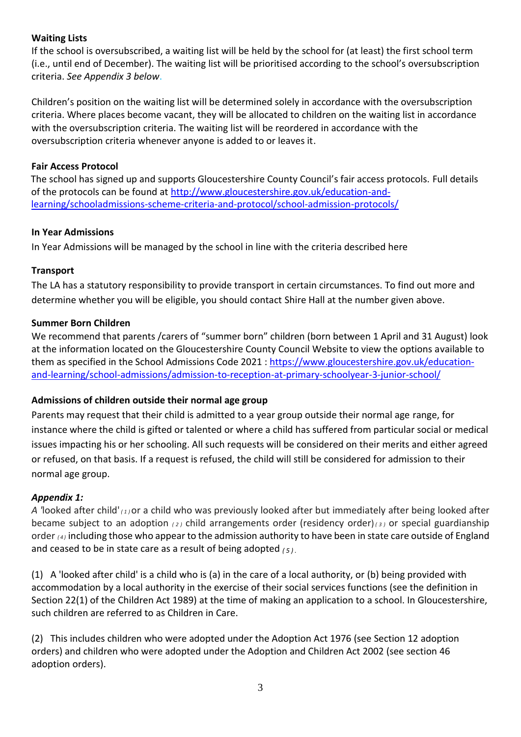### **Waiting Lists**

If the school is oversubscribed, a waiting list will be held by the school for (at least) the first school term (i.e., until end of December). The waiting list will be prioritised according to the school's oversubscription criteria. *See Appendix 3 below*.

Children's position on the waiting list will be determined solely in accordance with the oversubscription criteria. Where places become vacant, they will be allocated to children on the waiting list in accordance with the oversubscription criteria. The waiting list will be reordered in accordance with the oversubscription criteria whenever anyone is added to or leaves it.

## **Fair Access Protocol**

The school has signed up and supports Gloucestershire County Council's fair access protocols. Full details of the protocols can be found at [http://www.gloucestershire.gov.uk/education-and](http://www.gloucestershire.gov.uk/education-and-learning/school-admissions-scheme-criteria-and-protocol/school-admission-protocols/)[learning/schooladmissions-scheme-criteria-and-protocol/school-admission-protocols/](http://www.gloucestershire.gov.uk/education-and-learning/school-admissions-scheme-criteria-and-protocol/school-admission-protocols/)

## **In Year Admissions**

In Year Admissions will be managed by the school in line with the criteria described here

# **Transport**

The LA has a statutory responsibility to provide transport in certain circumstances. To find out more and determine whether you will be eligible, you should contact Shire Hall at the number given above.

## **Summer Born Children**

We recommend that parents /carers of "summer born" children (born between 1 April and 31 August) look at the information located on the Gloucestershire County Council Website to view the options available to them as specified in the School Admissions Code 2021 : [https://www.gloucestershire.gov.uk/education](https://www.gloucestershire.gov.uk/education-and-learning/school-admissions/admission-to-reception-at-primary-schoolyear-3-junior-school/)[and-learning/school-admissions/admission-to-reception-at-primary-schoolyear-3-junior-school/](https://www.gloucestershire.gov.uk/education-and-learning/school-admissions/admission-to-reception-at-primary-schoolyear-3-junior-school/)

# **Admissions of children outside their normal age group**

Parents may request that their child is admitted to a year group outside their normal age range, for instance where the child is gifted or talented or where a child has suffered from particular social or medical issues impacting his or her schooling. All such requests will be considered on their merits and either agreed or refused, on that basis. If a request is refused, the child will still be considered for admission to their normal age group.

# *Appendix 1:*

*A '*looked after child' *( <sup>1</sup> )*or a child who was previously looked after but immediately after being looked after became subject to an adoption *( <sup>2</sup> )* child arrangements order (residency order)*( <sup>3</sup> )* or special guardianship order *( <sup>4</sup> )* including those who appear to the admission authority to have been in state care outside of England and ceased to be in state care as a result of being adopted *( <sup>5</sup> ) .*

(1) A 'looked after child' is a child who is (a) in the care of a local authority, or (b) being provided with accommodation by a local authority in the exercise of their social services functions (see the definition in Section 22(1) of the Children Act 1989) at the time of making an application to a school. In Gloucestershire, such children are referred to as Children in Care.

(2) This includes children who were adopted under the Adoption Act 1976 (see Section 12 adoption orders) and children who were adopted under the Adoption and Children Act 2002 (see section 46 adoption orders).